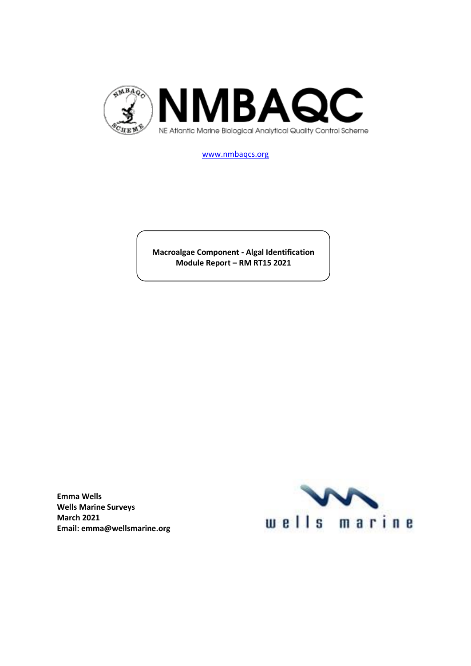

[www.nmbaqcs.org](http://www.nmbaqcs.org/)

**Macroalgae Component - Algal Identification Module Report – RM RT15 2021**

**Emma Wells Wells Marine Surveys March 2021 Email: emma@wellsmarine.org**

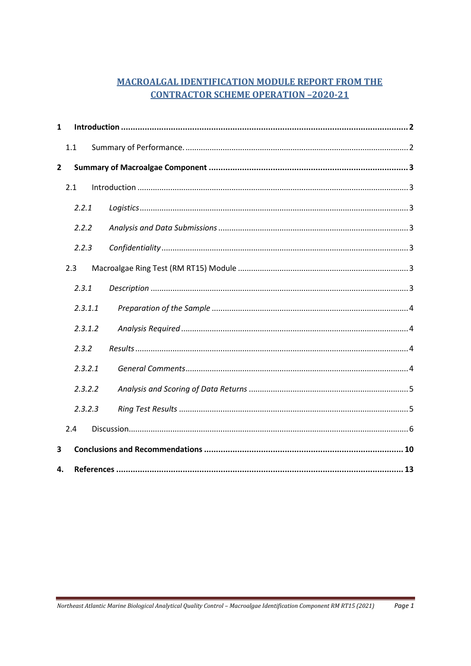# **MACROALGAL IDENTIFICATION MODULE REPORT FROM THE CONTRACTOR SCHEME OPERATION -2020-21**

| 1                       |       |         |  |  |  |  |  |  |
|-------------------------|-------|---------|--|--|--|--|--|--|
|                         | 1.1   |         |  |  |  |  |  |  |
| $\overline{2}$          |       |         |  |  |  |  |  |  |
|                         | 2.1   |         |  |  |  |  |  |  |
|                         | 2.2.1 |         |  |  |  |  |  |  |
|                         | 2.2.2 |         |  |  |  |  |  |  |
|                         | 2.2.3 |         |  |  |  |  |  |  |
|                         | 2.3   |         |  |  |  |  |  |  |
|                         | 2.3.1 |         |  |  |  |  |  |  |
|                         |       | 2.3.1.1 |  |  |  |  |  |  |
|                         |       | 2.3.1.2 |  |  |  |  |  |  |
|                         | 2.3.2 |         |  |  |  |  |  |  |
|                         |       | 2.3.2.1 |  |  |  |  |  |  |
|                         |       | 2.3.2.2 |  |  |  |  |  |  |
|                         |       | 2.3.2.3 |  |  |  |  |  |  |
|                         | 2.4   |         |  |  |  |  |  |  |
| $\overline{\mathbf{3}}$ |       |         |  |  |  |  |  |  |
| 4.                      |       |         |  |  |  |  |  |  |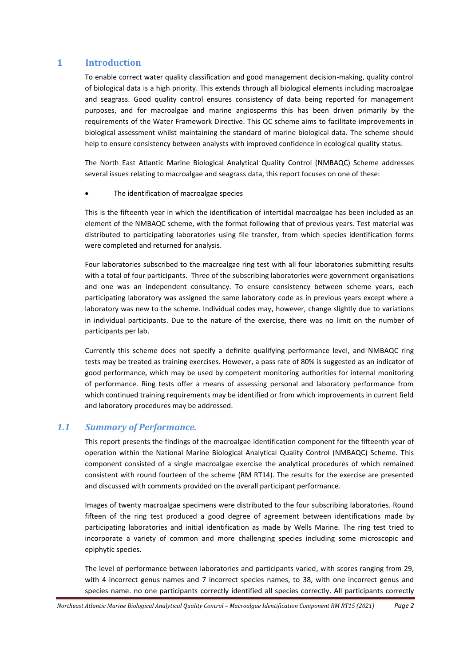## <span id="page-2-0"></span>**1 Introduction**

To enable correct water quality classification and good management decision-making, quality control of biological data is a high priority. This extends through all biological elements including macroalgae and seagrass. Good quality control ensures consistency of data being reported for management purposes, and for macroalgae and marine angiosperms this has been driven primarily by the requirements of the Water Framework Directive. This QC scheme aims to facilitate improvements in biological assessment whilst maintaining the standard of marine biological data. The scheme should help to ensure consistency between analysts with improved confidence in ecological quality status.

The North East Atlantic Marine Biological Analytical Quality Control (NMBAQC) Scheme addresses several issues relating to macroalgae and seagrass data, this report focuses on one of these:

The identification of macroalgae species

This is the fifteenth year in which the identification of intertidal macroalgae has been included as an element of the NMBAQC scheme, with the format following that of previous years. Test material was distributed to participating laboratories using file transfer, from which species identification forms were completed and returned for analysis.

Four laboratories subscribed to the macroalgae ring test with all four laboratories submitting results with a total of four participants. Three of the subscribing laboratories were government organisations and one was an independent consultancy. To ensure consistency between scheme years, each participating laboratory was assigned the same laboratory code as in previous years except where a laboratory was new to the scheme. Individual codes may, however, change slightly due to variations in individual participants. Due to the nature of the exercise, there was no limit on the number of participants per lab.

Currently this scheme does not specify a definite qualifying performance level, and NMBAQC ring tests may be treated as training exercises. However, a pass rate of 80% is suggested as an indicator of good performance, which may be used by competent monitoring authorities for internal monitoring of performance. Ring tests offer a means of assessing personal and laboratory performance from which continued training requirements may be identified or from which improvements in current field and laboratory procedures may be addressed.

## <span id="page-2-1"></span>*1.1 Summary of Performance.*

This report presents the findings of the macroalgae identification component for the fifteenth year of operation within the National Marine Biological Analytical Quality Control (NMBAQC) Scheme. This component consisted of a single macroalgae exercise the analytical procedures of which remained consistent with round fourteen of the scheme (RM RT14). The results for the exercise are presented and discussed with comments provided on the overall participant performance.

Images of twenty macroalgae specimens were distributed to the four subscribing laboratories. Round fifteen of the ring test produced a good degree of agreement between identifications made by participating laboratories and initial identification as made by Wells Marine. The ring test tried to incorporate a variety of common and more challenging species including some microscopic and epiphytic species.

The level of performance between laboratories and participants varied, with scores ranging from 29, with 4 incorrect genus names and 7 incorrect species names, to 38, with one incorrect genus and species name. no one participants correctly identified all species correctly. All participants correctly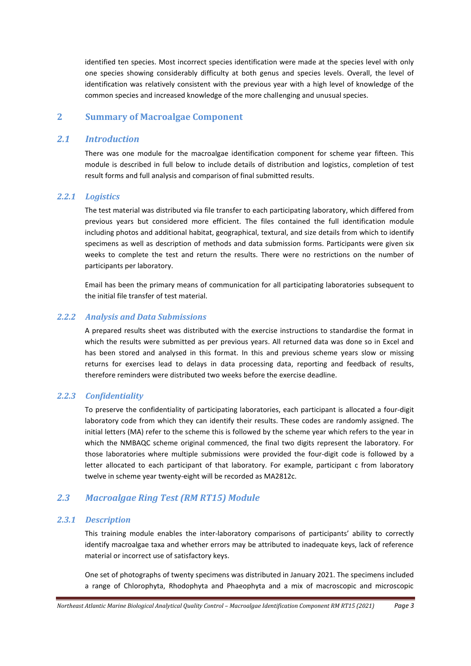identified ten species. Most incorrect species identification were made at the species level with only one species showing considerably difficulty at both genus and species levels. Overall, the level of identification was relatively consistent with the previous year with a high level of knowledge of the common species and increased knowledge of the more challenging and unusual species.

## <span id="page-3-0"></span>**2 Summary of Macroalgae Component**

#### <span id="page-3-1"></span>*2.1 Introduction*

There was one module for the macroalgae identification component for scheme year fifteen. This module is described in full below to include details of distribution and logistics, completion of test result forms and full analysis and comparison of final submitted results.

#### <span id="page-3-2"></span>*2.2.1 Logistics*

The test material was distributed via file transfer to each participating laboratory, which differed from previous years but considered more efficient. The files contained the full identification module including photos and additional habitat, geographical, textural, and size details from which to identify specimens as well as description of methods and data submission forms. Participants were given six weeks to complete the test and return the results. There were no restrictions on the number of participants per laboratory.

Email has been the primary means of communication for all participating laboratories subsequent to the initial file transfer of test material.

## <span id="page-3-3"></span>*2.2.2 Analysis and Data Submissions*

A prepared results sheet was distributed with the exercise instructions to standardise the format in which the results were submitted as per previous years. All returned data was done so in Excel and has been stored and analysed in this format. In this and previous scheme years slow or missing returns for exercises lead to delays in data processing data, reporting and feedback of results, therefore reminders were distributed two weeks before the exercise deadline.

## <span id="page-3-4"></span>*2.2.3 Confidentiality*

To preserve the confidentiality of participating laboratories, each participant is allocated a four-digit laboratory code from which they can identify their results. These codes are randomly assigned. The initial letters (MA) refer to the scheme this is followed by the scheme year which refers to the year in which the NMBAQC scheme original commenced, the final two digits represent the laboratory. For those laboratories where multiple submissions were provided the four-digit code is followed by a letter allocated to each participant of that laboratory. For example, participant c from laboratory twelve in scheme year twenty-eight will be recorded as MA2812c.

## <span id="page-3-5"></span>*2.3 Macroalgae Ring Test (RM RT15) Module*

#### <span id="page-3-6"></span>*2.3.1 Description*

This training module enables the inter-laboratory comparisons of participants' ability to correctly identify macroalgae taxa and whether errors may be attributed to inadequate keys, lack of reference material or incorrect use of satisfactory keys.

One set of photographs of twenty specimens was distributed in January 2021. The specimens included a range of Chlorophyta, Rhodophyta and Phaeophyta and a mix of macroscopic and microscopic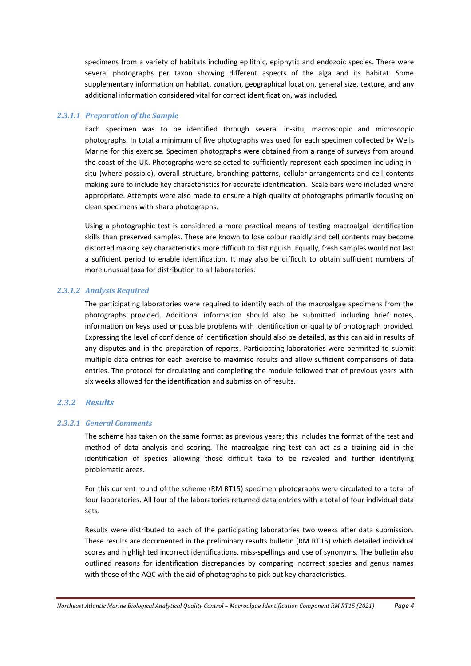specimens from a variety of habitats including epilithic, epiphytic and endozoic species. There were several photographs per taxon showing different aspects of the alga and its habitat. Some supplementary information on habitat, zonation, geographical location, general size, texture, and any additional information considered vital for correct identification, was included.

#### <span id="page-4-0"></span>*2.3.1.1 Preparation of the Sample*

Each specimen was to be identified through several in-situ, macroscopic and microscopic photographs. In total a minimum of five photographs was used for each specimen collected by Wells Marine for this exercise. Specimen photographs were obtained from a range of surveys from around the coast of the UK. Photographs were selected to sufficiently represent each specimen including insitu (where possible), overall structure, branching patterns, cellular arrangements and cell contents making sure to include key characteristics for accurate identification. Scale bars were included where appropriate. Attempts were also made to ensure a high quality of photographs primarily focusing on clean specimens with sharp photographs.

Using a photographic test is considered a more practical means of testing macroalgal identification skills than preserved samples. These are known to lose colour rapidly and cell contents may become distorted making key characteristics more difficult to distinguish. Equally, fresh samples would not last a sufficient period to enable identification. It may also be difficult to obtain sufficient numbers of more unusual taxa for distribution to all laboratories.

#### <span id="page-4-1"></span>*2.3.1.2 Analysis Required*

The participating laboratories were required to identify each of the macroalgae specimens from the photographs provided. Additional information should also be submitted including brief notes, information on keys used or possible problems with identification or quality of photograph provided. Expressing the level of confidence of identification should also be detailed, as this can aid in results of any disputes and in the preparation of reports. Participating laboratories were permitted to submit multiple data entries for each exercise to maximise results and allow sufficient comparisons of data entries. The protocol for circulating and completing the module followed that of previous years with six weeks allowed for the identification and submission of results.

## <span id="page-4-2"></span>*2.3.2 Results*

#### <span id="page-4-3"></span>*2.3.2.1 General Comments*

The scheme has taken on the same format as previous years; this includes the format of the test and method of data analysis and scoring. The macroalgae ring test can act as a training aid in the identification of species allowing those difficult taxa to be revealed and further identifying problematic areas.

For this current round of the scheme (RM RT15) specimen photographs were circulated to a total of four laboratories. All four of the laboratories returned data entries with a total of four individual data sets.

Results were distributed to each of the participating laboratories two weeks after data submission. These results are documented in the preliminary results bulletin (RM RT15) which detailed individual scores and highlighted incorrect identifications, miss-spellings and use of synonyms. The bulletin also outlined reasons for identification discrepancies by comparing incorrect species and genus names with those of the AQC with the aid of photographs to pick out key characteristics.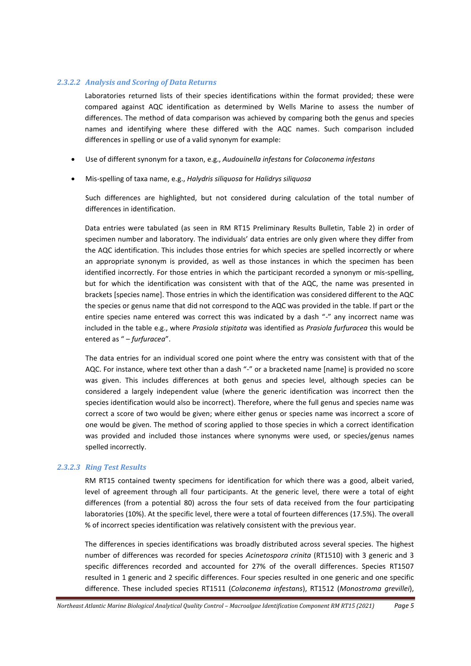#### <span id="page-5-0"></span>*2.3.2.2 Analysis and Scoring of Data Returns*

Laboratories returned lists of their species identifications within the format provided; these were compared against AQC identification as determined by Wells Marine to assess the number of differences. The method of data comparison was achieved by comparing both the genus and species names and identifying where these differed with the AQC names. Such comparison included differences in spelling or use of a valid synonym for example:

- Use of different synonym for a taxon, e.g., *Audouinella infestans* for *Colaconema infestans*
- Mis-spelling of taxa name, e.g., *Halydris siliquosa* for *Halidrys siliquosa*

Such differences are highlighted, but not considered during calculation of the total number of differences in identification.

Data entries were tabulated (as seen in RM RT15 Preliminary Results Bulletin, Table 2) in order of specimen number and laboratory. The individuals' data entries are only given where they differ from the AQC identification. This includes those entries for which species are spelled incorrectly or where an appropriate synonym is provided, as well as those instances in which the specimen has been identified incorrectly. For those entries in which the participant recorded a synonym or mis-spelling, but for which the identification was consistent with that of the AQC, the name was presented in brackets [species name]. Those entries in which the identification was considered different to the AQC the species or genus name that did not correspond to the AQC was provided in the table. If part or the entire species name entered was correct this was indicated by a dash "-" any incorrect name was included in the table e.g., where *Prasiola stipitata* was identified as *Prasiola furfuracea* this would be entered as " – *furfuracea*".

The data entries for an individual scored one point where the entry was consistent with that of the AQC. For instance, where text other than a dash "-" or a bracketed name [name] is provided no score was given. This includes differences at both genus and species level, although species can be considered a largely independent value (where the generic identification was incorrect then the species identification would also be incorrect). Therefore, where the full genus and species name was correct a score of two would be given; where either genus or species name was incorrect a score of one would be given. The method of scoring applied to those species in which a correct identification was provided and included those instances where synonyms were used, or species/genus names spelled incorrectly.

#### <span id="page-5-1"></span>*2.3.2.3 Ring Test Results*

RM RT15 contained twenty specimens for identification for which there was a good, albeit varied, level of agreement through all four participants. At the generic level, there were a total of eight differences (from a potential 80) across the four sets of data received from the four participating laboratories (10%). At the specific level, there were a total of fourteen differences (17.5%). The overall % of incorrect species identification was relatively consistent with the previous year.

The differences in species identifications was broadly distributed across several species. The highest number of differences was recorded for species *Acinetospora crinita* (RT1510) with 3 generic and 3 specific differences recorded and accounted for 27% of the overall differences. Species RT1507 resulted in 1 generic and 2 specific differences. Four species resulted in one generic and one specific difference. These included species RT1511 (*Colaconema infestans*), RT1512 (*Monostroma grevillei*),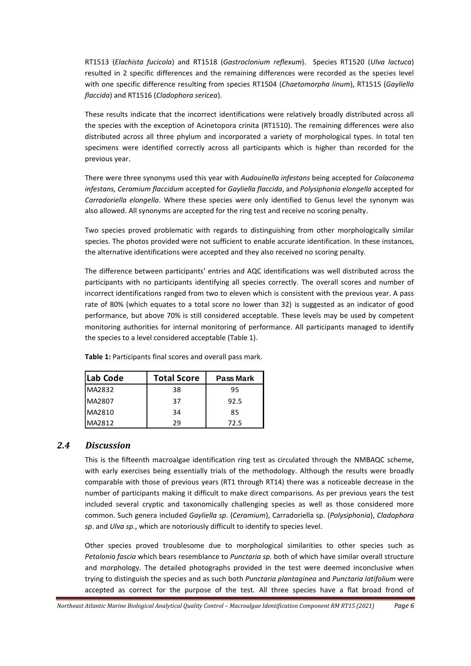RT1513 (*Elachista fucicola*) and RT1518 (*Gastroclonium reflexum*). Species RT1520 (*Ulva lactuca*) resulted in 2 specific differences and the remaining differences were recorded as the species level with one specific difference resulting from species RT1504 (*Chaetomorpha linum*), RT1515 (*Gayliella flaccida*) and RT1516 (*Cladophora sericea*).

These results indicate that the incorrect identifications were relatively broadly distributed across all the species with the exception of Acinetopora crinita (RT1510). The remaining differences were also distributed across all three phylum and incorporated a variety of morphological types. In total ten specimens were identified correctly across all participants which is higher than recorded for the previous year.

There were three synonyms used this year with *Audouinella infestans* being accepted for *Colaconema infestans, Ceramium flaccidum* accepted for *Gayliella flaccida*, and *Polysiphonia elongella* accepted for *Carradoriella elongella*. Where these species were only identified to Genus level the synonym was also allowed. All synonyms are accepted for the ring test and receive no scoring penalty.

Two species proved problematic with regards to distinguishing from other morphologically similar species. The photos provided were not sufficient to enable accurate identification. In these instances, the alternative identifications were accepted and they also received no scoring penalty.

The difference between participants' entries and AQC identifications was well distributed across the participants with no participants identifying all species correctly. The overall scores and number of incorrect identifications ranged from two to eleven which is consistent with the previous year. A pass rate of 80% (which equates to a total score no lower than 32) is suggested as an indicator of good performance, but above 70% is still considered acceptable. These levels may be used by competent monitoring authorities for internal monitoring of performance. All participants managed to identify the species to a level considered acceptable (Table 1).

| Lab Code | <b>Total Score</b> | <b>Pass Mark</b> |
|----------|--------------------|------------------|
| MA2832   | 38                 | 95               |
| MA2807   | 37                 | 92.5             |
| MA2810   | 34                 | 85               |
| MA2812   | 29                 | 72.5             |

**Table 1:** Participants final scores and overall pass mark.

## <span id="page-6-0"></span>*2.4 Discussion*

This is the fifteenth macroalgae identification ring test as circulated through the NMBAQC scheme, with early exercises being essentially trials of the methodology. Although the results were broadly comparable with those of previous years (RT1 through RT14) there was a noticeable decrease in the number of participants making it difficult to make direct comparisons. As per previous years the test included several cryptic and taxonomically challenging species as well as those considered more common. Such genera included *Gayliella sp*. (*Ceramium*), Carradoriella sp. (*Polysiphonia*), *Cladophora sp*. and *Ulva sp*., which are notoriously difficult to identify to species level.

Other species proved troublesome due to morphological similarities to other species such as *Petalonia fascia* which bears resemblance to *Punctaria sp.* both of which have similar overall structure and morphology*.* The detailed photographs provided in the test were deemed inconclusive when trying to distinguish the species and as such both *Punctaria plantaginea* and *Punctaria latifolium* were accepted as correct for the purpose of the test*.* All three species have a flat broad frond of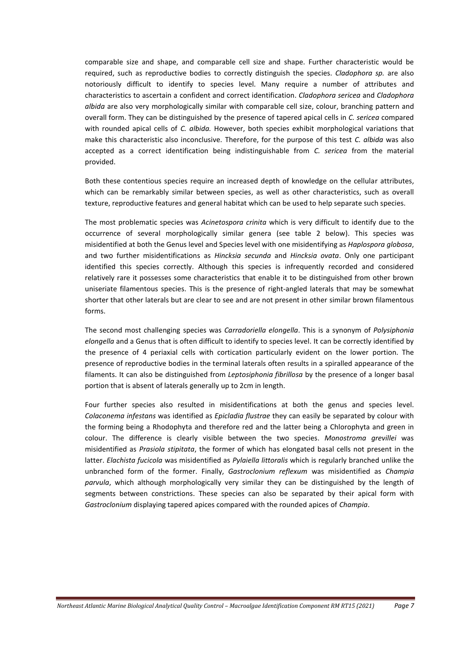comparable size and shape, and comparable cell size and shape. Further characteristic would be required, such as reproductive bodies to correctly distinguish the species. *Cladophora sp.* are also notoriously difficult to identify to species level. Many require a number of attributes and characteristics to ascertain a confident and correct identification. *Cladophora sericea* and *Cladophora albida* are also very morphologically similar with comparable cell size, colour, branching pattern and overall form. They can be distinguished by the presence of tapered apical cells in *C. sericea* compared with rounded apical cells of *C. albida.* However, both species exhibit morphological variations that make this characteristic also inconclusive. Therefore, for the purpose of this test *C. albida* was also accepted as a correct identification being indistinguishable from *C. sericea* from the material provided.

Both these contentious species require an increased depth of knowledge on the cellular attributes, which can be remarkably similar between species, as well as other characteristics, such as overall texture, reproductive features and general habitat which can be used to help separate such species.

The most problematic species was *Acinetospora crinita* which is very difficult to identify due to the occurrence of several morphologically similar genera (see table 2 below). This species was misidentified at both the Genus level and Species level with one misidentifying as *Haplospora globosa*, and two further misidentifications as *Hincksia secunda* and *Hincksia ovata*. Only one participant identified this species correctly. Although this species is infrequently recorded and considered relatively rare it possesses some characteristics that enable it to be distinguished from other brown uniseriate filamentous species. This is the presence of right-angled laterals that may be somewhat shorter that other laterals but are clear to see and are not present in other similar brown filamentous forms.

The second most challenging species was *Carradoriella elongella*. This is a synonym of *Polysiphonia elongella* and a Genus that is often difficult to identify to species level. It can be correctly identified by the presence of 4 periaxial cells with cortication particularly evident on the lower portion. The presence of reproductive bodies in the terminal laterals often results in a spiralled appearance of the filaments. It can also be distinguished from *Leptosiphonia fibrillosa* by the presence of a longer basal portion that is absent of laterals generally up to 2cm in length.

Four further species also resulted in misidentifications at both the genus and species level. *Colaconema infestans* was identified as *Epicladia flustrae* they can easily be separated by colour with the forming being a Rhodophyta and therefore red and the latter being a Chlorophyta and green in colour. The difference is clearly visible between the two species. *Monostroma grevillei* was misidentified as *Prasiola stipitata*, the former of which has elongated basal cells not present in the latter. *Elachista fucicola* was misidentified as *Pylaiella littoralis* which is regularly branched unlike the unbranched form of the former. Finally, *Gastroclonium reflexum* was misidentified as *Champia parvula*, which although morphologically very similar they can be distinguished by the length of segments between constrictions. These species can also be separated by their apical form with *Gastroclonium* displaying tapered apices compared with the rounded apices of *Champia*.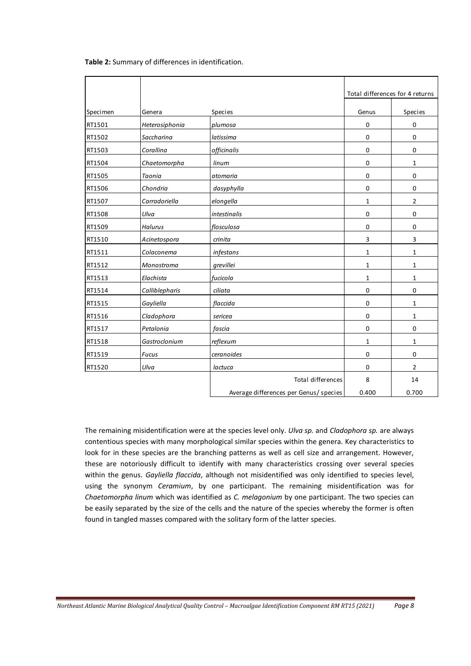|          |                |                                        | Total differences for 4 returns |                |
|----------|----------------|----------------------------------------|---------------------------------|----------------|
| Specimen | Genera         | <b>Species</b>                         | Genus                           | Species        |
| RT1501   |                |                                        |                                 |                |
|          | Heterosiphonia | plumosa                                | 0                               | 0              |
| RT1502   | Saccharina     | latissima                              | 0                               | 0              |
| RT1503   | Corallina      | officinalis                            | 0                               | 0              |
| RT1504   | Chaetomorpha   | linum                                  | 0                               | 1              |
| RT1505   | Taonia         | atomaria                               | 0                               | 0              |
| RT1506   | Chondria       | dasyphylla                             | 0                               | 0              |
| RT1507   | Carradoriella  | elongella                              | 1                               | $\overline{2}$ |
| RT1508   | Ulva           | intestinalis                           | 0                               | 0              |
| RT1509   | <b>Halurus</b> | flosculosa                             | 0                               | 0              |
| RT1510   | Acinetospora   | crinita                                | 3                               | 3              |
| RT1511   | Colaconema     | infestans                              | $\mathbf{1}$                    | $\mathbf{1}$   |
| RT1512   | Monostroma     | grevillei                              | $\mathbf{1}$                    | $\mathbf{1}$   |
| RT1513   | Elachista      | fucicola                               | $\mathbf{1}$                    | $\mathbf{1}$   |
| RT1514   | Calliblepharis | ciliata                                | 0                               | 0              |
| RT1515   | Gayliella      | flaccida                               | 0                               | $\mathbf{1}$   |
| RT1516   | Cladophora     | sericea                                | 0                               | $\mathbf{1}$   |
| RT1517   | Petalonia      | fascia                                 | 0                               | 0              |
| RT1518   | Gastroclonium  | reflexum                               | 1                               | 1              |
| RT1519   | <b>Fucus</b>   | ceranoides                             | 0                               | 0              |
| RT1520   | Ulva           | lactuca                                | 0                               | $\overline{2}$ |
|          |                | <b>Total differences</b>               | 8                               | 14             |
|          |                | Average differences per Genus/ species | 0.400                           | 0.700          |

The remaining misidentification were at the species level only. *Ulva sp.* and *Cladophora sp.* are always contentious species with many morphological similar species within the genera. Key characteristics to look for in these species are the branching patterns as well as cell size and arrangement. However, these are notoriously difficult to identify with many characteristics crossing over several species within the genus. *Gayliella flaccida*, although not misidentified was only identified to species level, using the synonym *Ceramium*, by one participant. The remaining misidentification was for *Chaetomorpha linum* which was identified as *C. melagonium* by one participant. The two species can be easily separated by the size of the cells and the nature of the species whereby the former is often found in tangled masses compared with the solitary form of the latter species.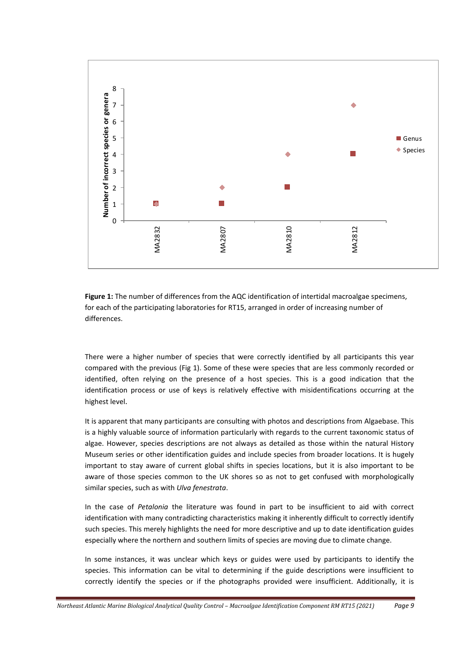

**Figure 1:** The number of differences from the AQC identification of intertidal macroalgae specimens, for each of the participating laboratories for RT15, arranged in order of increasing number of differences.

There were a higher number of species that were correctly identified by all participants this year compared with the previous (Fig 1). Some of these were species that are less commonly recorded or identified, often relying on the presence of a host species. This is a good indication that the identification process or use of keys is relatively effective with misidentifications occurring at the highest level.

It is apparent that many participants are consulting with photos and descriptions from Algaebase. This is a highly valuable source of information particularly with regards to the current taxonomic status of algae. However, species descriptions are not always as detailed as those within the natural History Museum series or other identification guides and include species from broader locations. It is hugely important to stay aware of current global shifts in species locations, but it is also important to be aware of those species common to the UK shores so as not to get confused with morphologically similar species, such as with *Ulva fenestrata*.

In the case of *Petalonia* the literature was found in part to be insufficient to aid with correct identification with many contradicting characteristics making it inherently difficult to correctly identify such species. This merely highlights the need for more descriptive and up to date identification guides especially where the northern and southern limits of species are moving due to climate change.

In some instances, it was unclear which keys or guides were used by participants to identify the species. This information can be vital to determining if the guide descriptions were insufficient to correctly identify the species or if the photographs provided were insufficient. Additionally, it is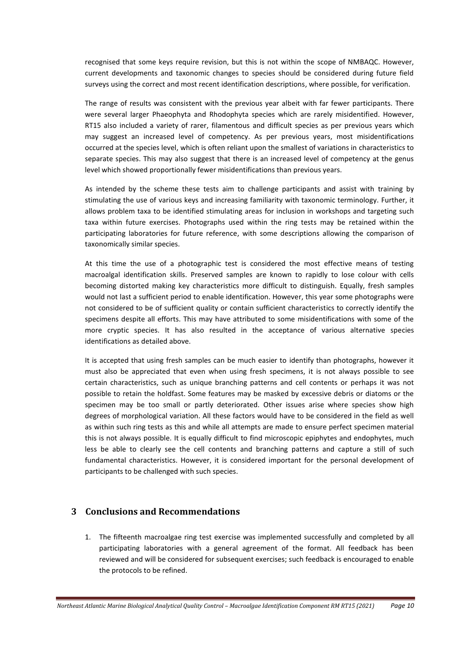recognised that some keys require revision, but this is not within the scope of NMBAQC. However, current developments and taxonomic changes to species should be considered during future field surveys using the correct and most recent identification descriptions, where possible, for verification.

The range of results was consistent with the previous year albeit with far fewer participants. There were several larger Phaeophyta and Rhodophyta species which are rarely misidentified. However, RT15 also included a variety of rarer, filamentous and difficult species as per previous years which may suggest an increased level of competency. As per previous years, most misidentifications occurred at the species level, which is often reliant upon the smallest of variations in characteristics to separate species. This may also suggest that there is an increased level of competency at the genus level which showed proportionally fewer misidentifications than previous years.

As intended by the scheme these tests aim to challenge participants and assist with training by stimulating the use of various keys and increasing familiarity with taxonomic terminology. Further, it allows problem taxa to be identified stimulating areas for inclusion in workshops and targeting such taxa within future exercises. Photographs used within the ring tests may be retained within the participating laboratories for future reference, with some descriptions allowing the comparison of taxonomically similar species.

At this time the use of a photographic test is considered the most effective means of testing macroalgal identification skills. Preserved samples are known to rapidly to lose colour with cells becoming distorted making key characteristics more difficult to distinguish. Equally, fresh samples would not last a sufficient period to enable identification. However, this year some photographs were not considered to be of sufficient quality or contain sufficient characteristics to correctly identify the specimens despite all efforts. This may have attributed to some misidentifications with some of the more cryptic species. It has also resulted in the acceptance of various alternative species identifications as detailed above.

It is accepted that using fresh samples can be much easier to identify than photographs, however it must also be appreciated that even when using fresh specimens, it is not always possible to see certain characteristics, such as unique branching patterns and cell contents or perhaps it was not possible to retain the holdfast. Some features may be masked by excessive debris or diatoms or the specimen may be too small or partly deteriorated. Other issues arise where species show high degrees of morphological variation. All these factors would have to be considered in the field as well as within such ring tests as this and while all attempts are made to ensure perfect specimen material this is not always possible. It is equally difficult to find microscopic epiphytes and endophytes, much less be able to clearly see the cell contents and branching patterns and capture a still of such fundamental characteristics. However, it is considered important for the personal development of participants to be challenged with such species.

## <span id="page-10-0"></span>**3 Conclusions and Recommendations**

1. The fifteenth macroalgae ring test exercise was implemented successfully and completed by all participating laboratories with a general agreement of the format. All feedback has been reviewed and will be considered for subsequent exercises; such feedback is encouraged to enable the protocols to be refined.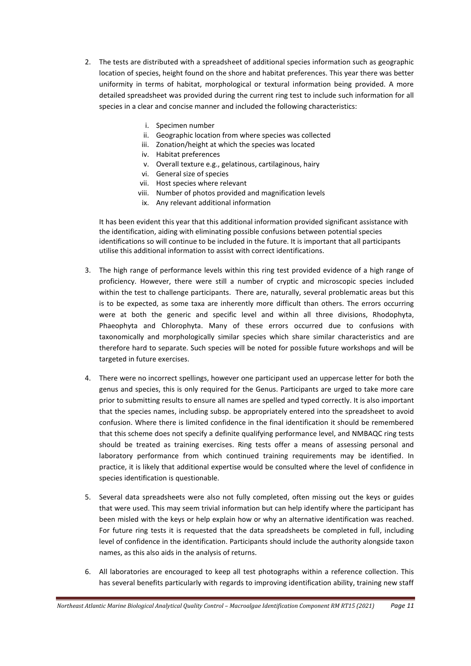- 2. The tests are distributed with a spreadsheet of additional species information such as geographic location of species, height found on the shore and habitat preferences. This year there was better uniformity in terms of habitat, morphological or textural information being provided. A more detailed spreadsheet was provided during the current ring test to include such information for all species in a clear and concise manner and included the following characteristics:
	- i. Specimen number
	- ii. Geographic location from where species was collected
	- iii. Zonation/height at which the species was located
	- iv. Habitat preferences
	- v. Overall texture e.g., gelatinous, cartilaginous, hairy
	- vi. General size of species
	- vii. Host species where relevant
	- viii. Number of photos provided and magnification levels
	- ix. Any relevant additional information

It has been evident this year that this additional information provided significant assistance with the identification, aiding with eliminating possible confusions between potential species identifications so will continue to be included in the future. It is important that all participants utilise this additional information to assist with correct identifications.

- 3. The high range of performance levels within this ring test provided evidence of a high range of proficiency. However, there were still a number of cryptic and microscopic species included within the test to challenge participants. There are, naturally, several problematic areas but this is to be expected, as some taxa are inherently more difficult than others. The errors occurring were at both the generic and specific level and within all three divisions, Rhodophyta, Phaeophyta and Chlorophyta. Many of these errors occurred due to confusions with taxonomically and morphologically similar species which share similar characteristics and are therefore hard to separate. Such species will be noted for possible future workshops and will be targeted in future exercises.
- 4. There were no incorrect spellings, however one participant used an uppercase letter for both the genus and species, this is only required for the Genus. Participants are urged to take more care prior to submitting results to ensure all names are spelled and typed correctly. It is also important that the species names, including subsp. be appropriately entered into the spreadsheet to avoid confusion. Where there is limited confidence in the final identification it should be remembered that this scheme does not specify a definite qualifying performance level, and NMBAQC ring tests should be treated as training exercises. Ring tests offer a means of assessing personal and laboratory performance from which continued training requirements may be identified. In practice, it is likely that additional expertise would be consulted where the level of confidence in species identification is questionable.
- 5. Several data spreadsheets were also not fully completed, often missing out the keys or guides that were used. This may seem trivial information but can help identify where the participant has been misled with the keys or help explain how or why an alternative identification was reached. For future ring tests it is requested that the data spreadsheets be completed in full, including level of confidence in the identification. Participants should include the authority alongside taxon names, as this also aids in the analysis of returns.
- 6. All laboratories are encouraged to keep all test photographs within a reference collection. This has several benefits particularly with regards to improving identification ability, training new staff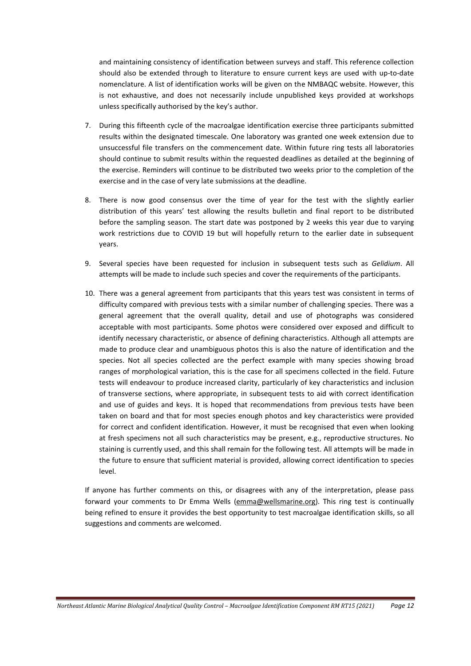and maintaining consistency of identification between surveys and staff. This reference collection should also be extended through to literature to ensure current keys are used with up-to-date nomenclature. A list of identification works will be given on the NMBAQC website. However, this is not exhaustive, and does not necessarily include unpublished keys provided at workshops unless specifically authorised by the key's author.

- 7. During this fifteenth cycle of the macroalgae identification exercise three participants submitted results within the designated timescale. One laboratory was granted one week extension due to unsuccessful file transfers on the commencement date. Within future ring tests all laboratories should continue to submit results within the requested deadlines as detailed at the beginning of the exercise. Reminders will continue to be distributed two weeks prior to the completion of the exercise and in the case of very late submissions at the deadline.
- 8. There is now good consensus over the time of year for the test with the slightly earlier distribution of this years' test allowing the results bulletin and final report to be distributed before the sampling season. The start date was postponed by 2 weeks this year due to varying work restrictions due to COVID 19 but will hopefully return to the earlier date in subsequent years.
- 9. Several species have been requested for inclusion in subsequent tests such as *Gelidium*. All attempts will be made to include such species and cover the requirements of the participants.
- 10. There was a general agreement from participants that this years test was consistent in terms of difficulty compared with previous tests with a similar number of challenging species. There was a general agreement that the overall quality, detail and use of photographs was considered acceptable with most participants. Some photos were considered over exposed and difficult to identify necessary characteristic, or absence of defining characteristics. Although all attempts are made to produce clear and unambiguous photos this is also the nature of identification and the species. Not all species collected are the perfect example with many species showing broad ranges of morphological variation, this is the case for all specimens collected in the field. Future tests will endeavour to produce increased clarity, particularly of key characteristics and inclusion of transverse sections, where appropriate, in subsequent tests to aid with correct identification and use of guides and keys. It is hoped that recommendations from previous tests have been taken on board and that for most species enough photos and key characteristics were provided for correct and confident identification. However, it must be recognised that even when looking at fresh specimens not all such characteristics may be present, e.g., reproductive structures. No staining is currently used, and this shall remain for the following test. All attempts will be made in the future to ensure that sufficient material is provided, allowing correct identification to species level.

If anyone has further comments on this, or disagrees with any of the interpretation, please pass forward your comments to Dr Emma Wells [\(emma@wellsmarine.org\)](mailto:emma@wellsmarine.org). This ring test is continually being refined to ensure it provides the best opportunity to test macroalgae identification skills, so all suggestions and comments are welcomed.